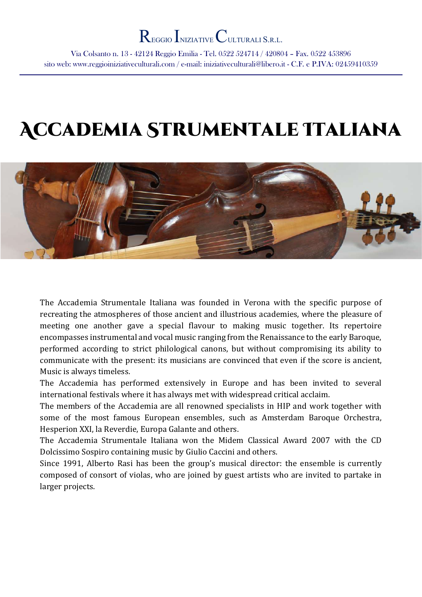Via Colsanto n. 13 - 42124 Reggio Emilia - Tel. 0522 524714 / 420804 – Fax. 0522 453896 sito web: www.reggioiniziativeculturali.com / e-mail: iniziativeculturali@libero.it - C.F. e P.IVA: 02459410359

# Accademia Strumentale Italiana



The Accademia Strumentale Italiana was founded in Verona with the specific purpose of recreating the atmospheres of those ancient and illustrious academies, where the pleasure of meeting one another gave a special flavour to making music together. Its repertoire encompasses instrumental and vocal music ranging from the Renaissance to the early Baroque, performed according to strict philological canons, but without compromising its ability to communicate with the present: its musicians are convinced that even if the score is ancient, Music is always timeless.

The Accademia has performed extensively in Europe and has been invited to several international festivals where it has always met with widespread critical acclaim.

The members of the Accademia are all renowned specialists in HIP and work together with some of the most famous European ensembles, such as Amsterdam Baroque Orchestra, Hesperion XXI, la Reverdie, Europa Galante and others.

The Accademia Strumentale Italiana won the Midem Classical Award 2007 with the CD Dolcissimo Sospiro containing music by Giulio Caccini and others.

Since 1991, Alberto Rasi has been the group's musical director: the ensemble is currently composed of consort of violas, who are joined by guest artists who are invited to partake in larger projects.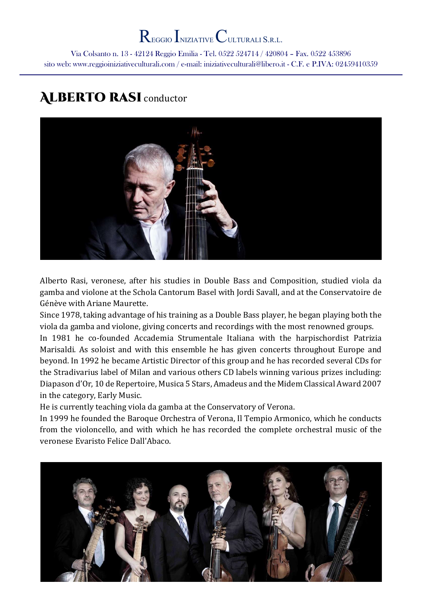Via Colsanto n. 13 - 42124 Reggio Emilia - Tel. 0522 524714 / 420804 – Fax. 0522 453896 sito web: www.reggioiniziativeculturali.com / e-mail: iniziativeculturali@libero.it - C.F. e P.IVA: 02459410359

## **ALBERTO RASI** conductor



Alberto Rasi, veronese, after his studies in Double Bass and Composition, studied viola da gamba and violone at the Schola Cantorum Basel with Jordi Savall, and at the Conservatoire de Génève with Ariane Maurette.

Since 1978, taking advantage of his training as a Double Bass player, he began playing both the viola da gamba and violone, giving concerts and recordings with the most renowned groups.

In 1981 he co-founded Accademia Strumentale Italiana with the harpischordist Patrizia Marisaldi. As soloist and with this ensemble he has given concerts throughout Europe and beyond. In 1992 he became Artistic Director of this group and he has recorded several CDs for the Stradivarius label of Milan and various others CD labels winning various prizes including: Diapason d'Or, 10 de Repertoire, Musica 5 Stars, Amadeus and the Midem Classical Award 2007 in the category, Early Music.

He is currently teaching viola da gamba at the Conservatory of Verona.

In 1999 he founded the Baroque Orchestra of Verona, Il Tempio Armonico, which he conducts from the violoncello, and with which he has recorded the complete orchestral music of the veronese Evaristo Felice Dall'Abaco.

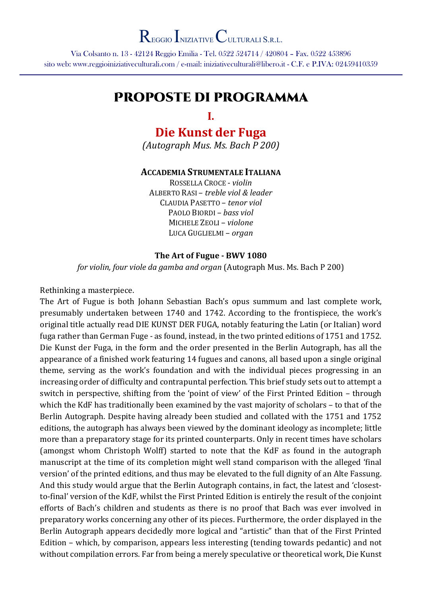Via Colsanto n. 13 - 42124 Reggio Emilia - Tel. 0522 524714 / 420804 – Fax. 0522 453896 sito web: www.reggioiniziativeculturali.com / e-mail: iniziativeculturali@libero.it - C.F. e P.IVA: 02459410359

## Proposte di programma

#### I.

## Die Kunst der Fuga

(Autograph Mus. Ms. Bach P 200)

#### ACCADEMIA STRUMENTALE ITALIANA

ROSSELLA CROCE - violin ALBERTO RASI – treble viol & leader CLAUDIA PASETTO – tenor viol PAOLO BIORDI – bass viol MICHELE ZEOLI – violone LUCA GUGLIELMI – organ

#### The Art of Fugue - BWV 1080

for violin, four viole da gamba and organ (Autograph Mus. Ms. Bach P 200)

#### Rethinking a masterpiece.

The Art of Fugue is both Johann Sebastian Bach's opus summum and last complete work, presumably undertaken between 1740 and 1742. According to the frontispiece, the work's original title actually read DIE KUNST DER FUGA, notably featuring the Latin (or Italian) word fuga rather than German Fuge - as found, instead, in the two printed editions of 1751 and 1752. Die Kunst der Fuga, in the form and the order presented in the Berlin Autograph, has all the appearance of a finished work featuring 14 fugues and canons, all based upon a single original theme, serving as the work's foundation and with the individual pieces progressing in an increasing order of difficulty and contrapuntal perfection. This brief study sets out to attempt a switch in perspective, shifting from the 'point of view' of the First Printed Edition – through which the KdF has traditionally been examined by the vast majority of scholars – to that of the Berlin Autograph. Despite having already been studied and collated with the 1751 and 1752 editions, the autograph has always been viewed by the dominant ideology as incomplete; little more than a preparatory stage for its printed counterparts. Only in recent times have scholars (amongst whom Christoph Wolff) started to note that the KdF as found in the autograph manuscript at the time of its completion might well stand comparison with the alleged 'final version' of the printed editions, and thus may be elevated to the full dignity of an Alte Fassung. And this study would argue that the Berlin Autograph contains, in fact, the latest and 'closestto-final' version of the KdF, whilst the First Printed Edition is entirely the result of the conjoint efforts of Bach's children and students as there is no proof that Bach was ever involved in preparatory works concerning any other of its pieces. Furthermore, the order displayed in the Berlin Autograph appears decidedly more logical and "artistic" than that of the First Printed Edition – which, by comparison, appears less interesting (tending towards pedantic) and not without compilation errors. Far from being a merely speculative or theoretical work, Die Kunst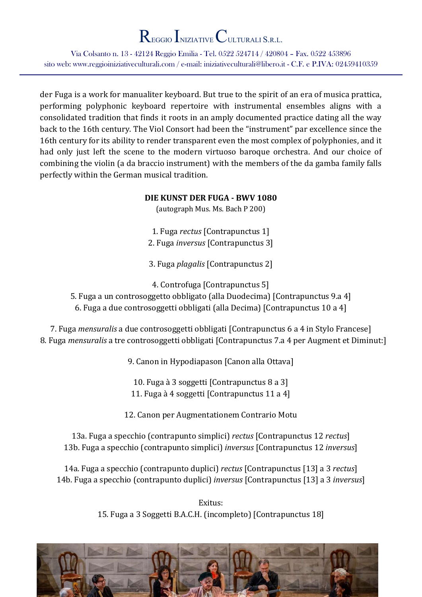Via Colsanto n. 13 - 42124 Reggio Emilia - Tel. 0522 524714 / 420804 – Fax. 0522 453896 sito web: www.reggioiniziativeculturali.com / e-mail: iniziativeculturali@libero.it - C.F. e P.IVA: 02459410359

der Fuga is a work for manualiter keyboard. But true to the spirit of an era of musica prattica, performing polyphonic keyboard repertoire with instrumental ensembles aligns with a consolidated tradition that finds it roots in an amply documented practice dating all the way back to the 16th century. The Viol Consort had been the "instrument" par excellence since the 16th century for its ability to render transparent even the most complex of polyphonies, and it had only just left the scene to the modern virtuoso baroque orchestra. And our choice of combining the violin (a da braccio instrument) with the members of the da gamba family falls perfectly within the German musical tradition.

#### DIE KUNST DER FUGA - BWV 1080

(autograph Mus. Ms. Bach P 200)

1. Fuga rectus [Contrapunctus 1] 2. Fuga inversus [Contrapunctus 3]

3. Fuga plagalis [Contrapunctus 2]

4. Controfuga [Contrapunctus 5]

5. Fuga a un controsoggetto obbligato (alla Duodecima) [Contrapunctus 9.a 4] 6. Fuga a due controsoggetti obbligati (alla Decima) [Contrapunctus 10 a 4]

7. Fuga mensuralis a due controsoggetti obbligati [Contrapunctus 6 a 4 in Stylo Francese] 8. Fuga mensuralis a tre controsoggetti obbligati [Contrapunctus 7.a 4 per Augment et Diminut:]

9. Canon in Hypodiapason [Canon alla Ottava]

10. Fuga à 3 soggetti [Contrapunctus 8 a 3] 11. Fuga à 4 soggetti [Contrapunctus 11 a 4]

12. Canon per Augmentationem Contrario Motu

13a. Fuga a specchio (contrapunto simplici) rectus [Contrapunctus 12 rectus] 13b. Fuga a specchio (contrapunto simplici) inversus [Contrapunctus 12 inversus]

14a. Fuga a specchio (contrapunto duplici) rectus [Contrapunctus [13] a 3 rectus] 14b. Fuga a specchio (contrapunto duplici) inversus [Contrapunctus [13] a 3 inversus]

> Exitus: 15. Fuga a 3 Soggetti B.A.C.H. (incompleto) [Contrapunctus 18]

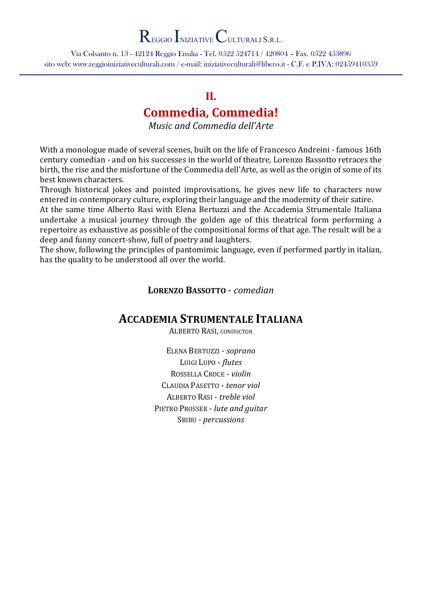Via Colsanto n. 13 - 42124 Reggio Emilia - Tel. 0522 524714 / 420804 – Fax. 0522 453896 sito web: www.reggioiniziativeculturali.com / e-mail: iniziativeculturali@libero.it - C.F. e P.IVA: 02459410359

### II.

### Commedia, Commedia!

Music and Commedia dell'Arte

With a monologue made of several scenes, built on the life of Francesco Andreini - famous 16th century comedian - and on his successes in the world of theatre, Lorenzo Bassotto retraces the birth, the rise and the misfortune of the Commedia dell'Arte, as well as the origin of some of its best known characters.

Through historical jokes and pointed improvisations, he gives new life to characters now entered in contemporary culture, exploring their language and the modernity of their satire.

At the same time Alberto Rasi with Elena Bertuzzi and the Accademia Strumentale Italiana undertake a musical journey through the golden age of this theatrical form performing a repertoire as exhaustive as possible of the compositional forms of that age. The result will be a deep and funny concert-show, full of poetry and laughters.

The show, following the principles of pantomimic language, even if performed partly in italian, has the quality to be understood all over the world.

LORENZO BASSOTTO - comedian

### ACCADEMIA STRUMENTALE ITALIANA

ALBERTO RASI, CONDUCTOR

ELENA BERTUZZI - soprano LUIGI LUPO - flutes ROSSELLA CROCE - violin CLAUDIA PASETTO - tenor viol ALBERTO RASI - treble viol PIETRO PROSSER - lute and guitar SBIBU - percussions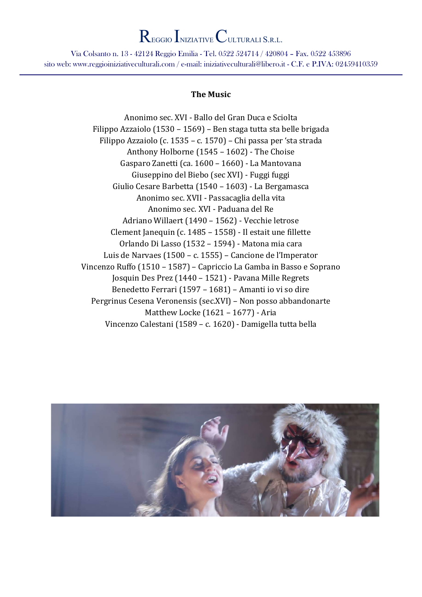Via Colsanto n. 13 - 42124 Reggio Emilia - Tel. 0522 524714 / 420804 – Fax. 0522 453896 sito web: www.reggioiniziativeculturali.com / e-mail: iniziativeculturali@libero.it - C.F. e P.IVA: 02459410359

#### The Music

Anonimo sec. XVI - Ballo del Gran Duca e Sciolta Filippo Azzaiolo (1530 – 1569) – Ben staga tutta sta belle brigada Filippo Azzaiolo (c. 1535 – c. 1570) – Chi passa per 'sta strada Anthony Holborne (1545 – 1602) - The Choise Gasparo Zanetti (ca. 1600 – 1660) - La Mantovana Giuseppino del Biebo (sec XVI) - Fuggi fuggi Giulio Cesare Barbetta (1540 – 1603) - La Bergamasca Anonimo sec. XVII - Passacaglia della vita Anonimo sec. XVI - Paduana del Re Adriano Willaert (1490 – 1562) - Vecchie letrose Clement Janequin (c. 1485 – 1558) - Il estait une fillette Orlando Di Lasso (1532 – 1594) - Matona mia cara Luis de Narvaes (1500 – c. 1555) – Cancione de l'Imperator Vincenzo Ruffo (1510 – 1587) – Capriccio La Gamba in Basso e Soprano Josquin Des Prez (1440 – 1521) - Pavana Mille Regrets Benedetto Ferrari (1597 – 1681) – Amanti io vi so dire Pergrinus Cesena Veronensis (sec.XVI) – Non posso abbandonarte Matthew Locke (1621 – 1677) - Aria Vincenzo Calestani (1589 – c. 1620) - Damigella tutta bella

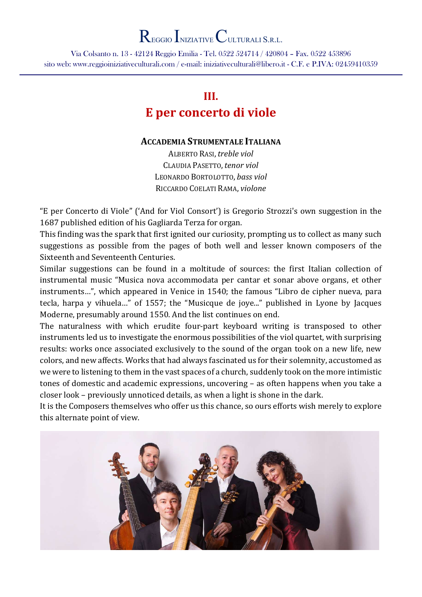Via Colsanto n. 13 - 42124 Reggio Emilia - Tel. 0522 524714 / 420804 – Fax. 0522 453896 sito web: www.reggioiniziativeculturali.com / e-mail: iniziativeculturali@libero.it - C.F. e P.IVA: 02459410359

### III. E per concerto di viole

#### ACCADEMIA STRUMENTALE ITALIANA

ALBERTO RASI, treble viol CLAUDIA PASETTO, tenor viol LEONARDO BORTOLOTTO, bass viol RICCARDO COELATI RAMA, violone

"E per Concerto di Viole" ('And for Viol Consort') is Gregorio Strozzi's own suggestion in the 1687 published edition of his Gagliarda Terza for organ.

This finding was the spark that first ignited our curiosity, prompting us to collect as many such suggestions as possible from the pages of both well and lesser known composers of the Sixteenth and Seventeenth Centuries.

Similar suggestions can be found in a moltitude of sources: the first Italian collection of instrumental music "Musica nova accommodata per cantar et sonar above organs, et other instruments…", which appeared in Venice in 1540; the famous "Libro de cipher nueva, para tecla, harpa y vihuela…" of 1557; the "Musicque de joye..." published in Lyone by Jacques Moderne, presumably around 1550. And the list continues on end.

The naturalness with which erudite four-part keyboard writing is transposed to other instruments led us to investigate the enormous possibilities of the viol quartet, with surprising results: works once associated exclusively to the sound of the organ took on a new life, new colors, and new affects. Works that had always fascinated us for their solemnity, accustomed as we were to listening to them in the vast spaces of a church, suddenly took on the more intimistic tones of domestic and academic expressions, uncovering – as often happens when you take a closer look – previously unnoticed details, as when a light is shone in the dark.

It is the Composers themselves who offer us this chance, so ours efforts wish merely to explore this alternate point of view.

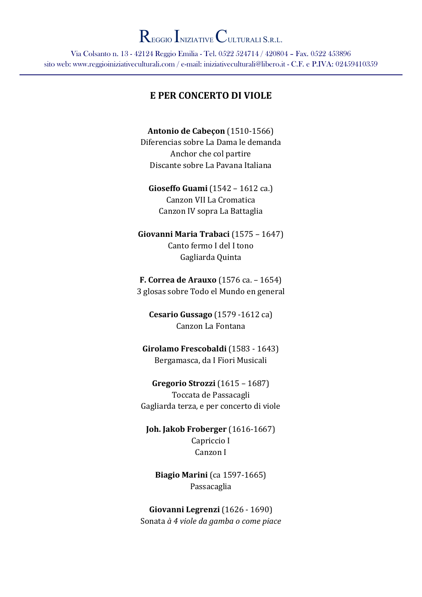Via Colsanto n. 13 - 42124 Reggio Emilia - Tel. 0522 524714 / 420804 – Fax. 0522 453896 sito web: www.reggioiniziativeculturali.com / e-mail: iniziativeculturali@libero.it - C.F. e P.IVA: 02459410359

#### E PER CONCERTO DI VIOLE

Antonio de Cabeçon (1510-1566) Diferencias sobre La Dama le demanda Anchor che col partire Discante sobre La Pavana Italiana

Gioseffo Guami (1542 – 1612 ca.) Canzon VII La Cromatica Canzon IV sopra La Battaglia

Giovanni Maria Trabaci (1575 – 1647) Canto fermo I del I tono Gagliarda Quinta

F. Correa de Arauxo (1576 ca. – 1654) 3 glosas sobre Todo el Mundo en general

Cesario Gussago (1579 -1612 ca) Canzon La Fontana

Girolamo Frescobaldi (1583 - 1643) Bergamasca, da I Fiori Musicali

Gregorio Strozzi (1615 – 1687) Toccata de Passacagli Gagliarda terza, e per concerto di viole

Joh. Jakob Froberger (1616-1667) Capriccio I Canzon I

Biagio Marini (ca 1597-1665) Passacaglia

Giovanni Legrenzi (1626 - 1690) Sonata à 4 viole da gamba o come piace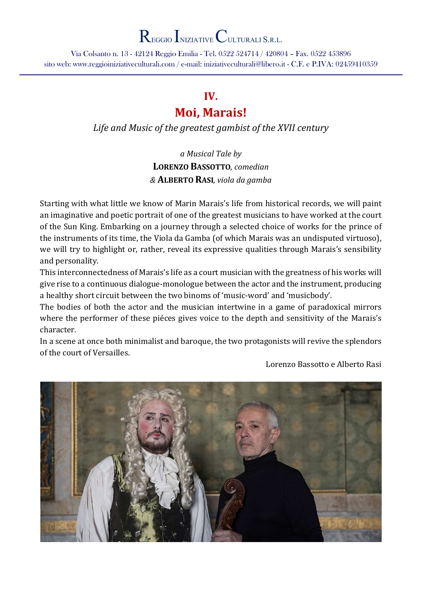Via Colsanto n. 13 - 42124 Reggio Emilia - Tel. 0522 524714 / 420804 – Fax. 0522 453896 sito web: www.reggioiniziativeculturali.com / e-mail: iniziativeculturali@libero.it - C.F. e P.IVA: 02459410359

### IV.

## Moi, Marais!

Life and Music of the greatest gambist of the XVII century

a Musical Tale by LORENZO BASSOTTO, comedian & ALBERTO RASI, viola da gamba

Starting with what little we know of Marin Marais's life from historical records, we will paint an imaginative and poetic portrait of one of the greatest musicians to have worked at the court of the Sun King. Embarking on a journey through a selected choice of works for the prince of the instruments of its time, the Viola da Gamba (of which Marais was an undisputed virtuoso), we will try to highlight or, rather, reveal its expressive qualities through Marais's sensibility and personality.

This interconnectedness of Marais's life as a court musician with the greatness of his works will give rise to a continuous dialogue-monologue between the actor and the instrument, producing a healthy short circuit between the two binoms of 'music-word' and 'musicbody'.

The bodies of both the actor and the musician intertwine in a game of paradoxical mirrors where the performer of these piéces gives voice to the depth and sensitivity of the Marais's character.

In a scene at once both minimalist and baroque, the two protagonists will revive the splendors of the court of Versailles.

Lorenzo Bassotto e Alberto Rasi

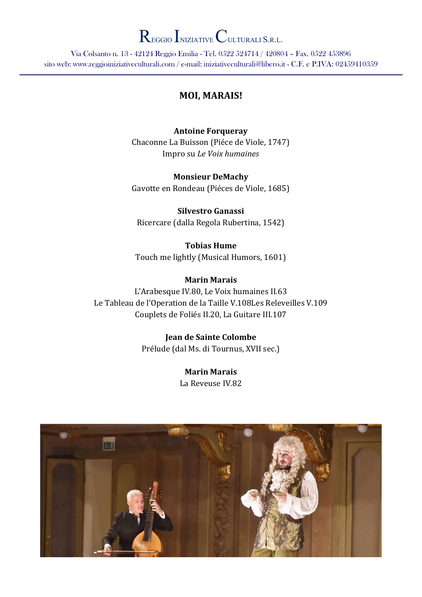Via Colsanto n. 13 - 42124 Reggio Emilia - Tel. 0522 524714 / 420804 – Fax. 0522 453896 sito web: www.reggioiniziativeculturali.com / e-mail: iniziativeculturali@libero.it - C.F. e P.IVA: 02459410359

#### MOI, MARAIS!

#### Antoine Forqueray

Chaconne La Buisson (Piéce de Viole, 1747) Impro su Le Voix humaines

Monsieur DeMachy Gavotte en Rondeau (Piéces de Viole, 1685)

Silvestro Ganassi Ricercare (dalla Regola Rubertina, 1542)

Tobias Hume Touch me lightly (Musical Humors, 1601)

#### Marin Marais

L'Arabesque IV.80, Le Voix humaines II.63 Le Tableau de l'Operation de la Taille V.108Les Releveilles V.109 Couplets de Foliés II.20, La Guitare III.107

> Jean de Sainte Colombe Prélude (dal Ms. di Tournus, XVII sec.)

> > Marin Marais La Reveuse IV.82